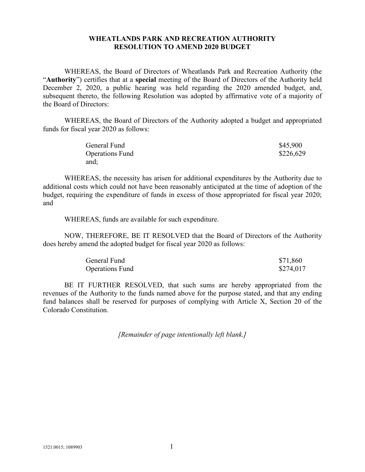## **WHEATLANDS PARK AND RECREATION AUTHORITY RESOLUTION TO AMEND 2020 BUDGET**

WHEREAS, the Board of Directors of Wheatlands Park and Recreation Authority (the "**Authority**") certifies that at a **special** meeting of the Board of Directors of the Authority held December 2, 2020, a public hearing was held regarding the 2020 amended budget, and, subsequent thereto, the following Resolution was adopted by affirmative vote of a majority of the Board of Directors:

WHEREAS, the Board of Directors of the Authority adopted a budget and appropriated funds for fiscal year 2020 as follows:

| General Fund           | \$45,900  |
|------------------------|-----------|
| <b>Operations Fund</b> | \$226,629 |
| and;                   |           |

WHEREAS, the necessity has arisen for additional expenditures by the Authority due to additional costs which could not have been reasonably anticipated at the time of adoption of the budget, requiring the expenditure of funds in excess of those appropriated for fiscal year 2020; and

WHEREAS, funds are available for such expenditure.

NOW, THEREFORE, BE IT RESOLVED that the Board of Directors of the Authority does hereby amend the adopted budget for fiscal year 2020 as follows:

| <b>General Fund</b>    | \$71,860  |
|------------------------|-----------|
| <b>Operations Fund</b> | \$274,017 |

BE IT FURTHER RESOLVED, that such sums are hereby appropriated from the revenues of the Authority to the funds named above for the purpose stated, and that any ending fund balances shall be reserved for purposes of complying with Article X, Section 20 of the Colorado Constitution.

*[Remainder of page intentionally left blank.]*